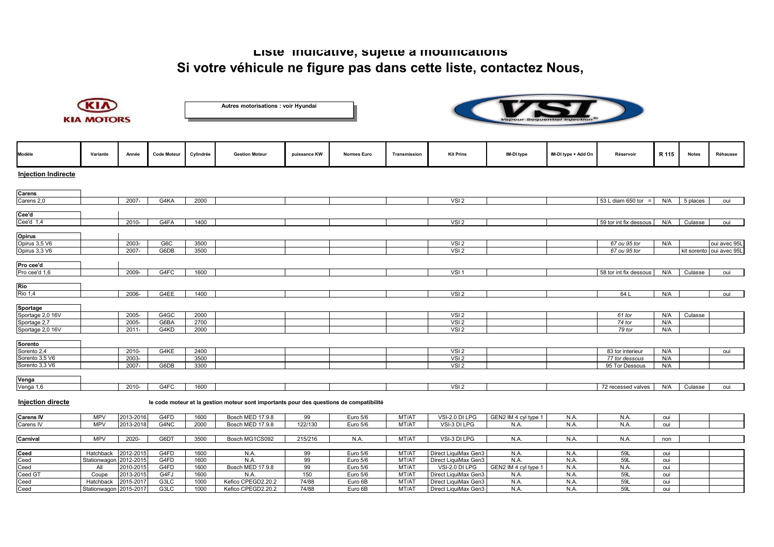## **Liste indicative, sujette à modifications Si votre véhicule ne figure pas dans cette liste, contactez Nous,**



**Autres motorisations : voir Hyundai**



| Modèle                     | Variante               | Année     | <b>Code Moteur</b> | Cylindrée | <b>Gestion Moteur</b>                                                                   | puissance KW | <b>Normes Euro</b> | Transmission | <b>Kit Prins</b>     | IM-DI type           | IM-DI type + Add On | Réservoir                | R 115 | <b>Notes</b> | Réhausse                 |
|----------------------------|------------------------|-----------|--------------------|-----------|-----------------------------------------------------------------------------------------|--------------|--------------------|--------------|----------------------|----------------------|---------------------|--------------------------|-------|--------------|--------------------------|
| <b>Injection Indirecte</b> |                        |           |                    |           |                                                                                         |              |                    |              |                      |                      |                     |                          |       |              |                          |
| Carens                     |                        |           |                    |           |                                                                                         |              |                    |              |                      |                      |                     |                          |       |              |                          |
| Carens 2,0                 |                        | $2007 -$  | G4KA               | 2000      |                                                                                         |              |                    |              | VSI <sub>2</sub>     |                      |                     | 53 L diam 650 tor<br>$=$ | N/A   | 5 places     | oui                      |
| Cee'd                      |                        |           |                    |           |                                                                                         |              |                    |              |                      |                      |                     |                          |       |              |                          |
| Cee'd 1,4                  |                        | 2010-     | G4FA               | 1400      |                                                                                         |              |                    |              | VSI <sub>2</sub>     |                      |                     | 59 tor int fix dessous   | N/A   | Culasse      | oui                      |
| <b>Opirus</b>              |                        |           |                    |           |                                                                                         |              |                    |              |                      |                      |                     |                          |       |              |                          |
| Opirus 3,5 V6              |                        | 2003-     | G6C                | 3500      |                                                                                         |              |                    |              | VSI <sub>2</sub>     |                      |                     | 67 ou 95 tor             | N/A   |              | oui avec 95L             |
| Opirus 3,3 V6              |                        | 2007-     | G6DB               | 3500      |                                                                                         |              |                    |              | VSI <sub>2</sub>     |                      |                     | 67 ou 95 tor             |       |              | kit sorento oui avec 95L |
|                            |                        |           |                    |           |                                                                                         |              |                    |              |                      |                      |                     |                          |       |              |                          |
| Pro cee'd                  |                        |           |                    |           |                                                                                         |              |                    |              |                      |                      |                     |                          |       |              |                          |
| Pro cee'd 1,6              |                        | 2009-     | G4FC               | 1600      |                                                                                         |              |                    |              | VSI1                 |                      |                     | 58 tor int fix dessous   | N/A   | Culasse      | oui                      |
| Rio                        |                        |           |                    |           |                                                                                         |              |                    |              |                      |                      |                     |                          |       |              |                          |
| <b>Rio 1,4</b>             |                        | 2006-     | G4EE               | 1400      |                                                                                         |              |                    |              | VSI <sub>2</sub>     |                      |                     | 64 L                     | N/A   |              |                          |
|                            |                        |           |                    |           |                                                                                         |              |                    |              |                      |                      |                     |                          |       |              | oui                      |
| Sportage                   |                        |           |                    |           |                                                                                         |              |                    |              |                      |                      |                     |                          |       |              |                          |
| Sportage 2,0 16V           |                        | 2005-     | G4GC               | 2000      |                                                                                         |              |                    |              | VSI <sub>2</sub>     |                      |                     | 61 tor                   | N/A   | Culasse      |                          |
| Sportage 2,7               |                        | 2005-     | G6BA               | 2700      |                                                                                         |              |                    |              | VSI <sub>2</sub>     |                      |                     | 74 tor                   | N/A   |              |                          |
| Sportage 2,0 16V           |                        | $2011 -$  | G4KD               | 2000      |                                                                                         |              |                    |              | VSI <sub>2</sub>     |                      |                     | 79 tor                   | N/A   |              |                          |
|                            |                        |           |                    |           |                                                                                         |              |                    |              |                      |                      |                     |                          |       |              |                          |
| Sorento                    |                        |           |                    |           |                                                                                         |              |                    |              |                      |                      |                     |                          |       |              |                          |
| Sorento 2,4                |                        | 2010-     | G4KE               | 2400      |                                                                                         |              |                    |              | VSI <sub>2</sub>     |                      |                     | 83 tor interieur         | N/A   |              | oui                      |
| Sorento 3,5 V6             |                        | 2003-     |                    | 3500      |                                                                                         |              |                    |              | VSI <sub>2</sub>     |                      |                     | 77 tor dessous           | N/A   |              |                          |
| Sorento 3,3 V6             |                        | 2007-     | G6DB               | 3300      |                                                                                         |              |                    |              | VSI <sub>2</sub>     |                      |                     | 95 Tor Dessous           | N/A   |              |                          |
| Venga                      |                        |           |                    |           |                                                                                         |              |                    |              |                      |                      |                     |                          |       |              |                          |
| Venga 1,6                  |                        | $2010 -$  | G4FC               | 1600      |                                                                                         |              |                    |              | VSI <sub>2</sub>     |                      |                     | 72 recessed valves       | N/A   | Culasse      | oui                      |
| Injection directe          |                        |           |                    |           | le code moteur et la gestion moteur sont importants pour des questions de compatibilité |              |                    |              |                      |                      |                     |                          |       |              |                          |
| <b>Carens IV</b>           | <b>MPV</b>             | 2013-2016 | G4FD               | 1600      | Bosch MED 17.9.8                                                                        | 99           | Euro 5/6           | MT/AT        | VSI-2.0 DI LPG       | GEN2 IM 4 cyl type 1 | N.A.                | N.A.                     | oui   |              |                          |
| Carens IV                  | <b>MPV</b>             | 2013-2018 | G4NC               | 2000      | Bosch MED 17.9.8                                                                        | 122/130      | Euro 5/6           | MT/AT        | VSI-3 DI LPG         | N.A                  | N.A.                | N.A.                     | oui   |              |                          |
|                            |                        |           |                    |           |                                                                                         |              |                    |              |                      |                      |                     |                          |       |              |                          |
| Carnival                   | <b>MPV</b>             | 2020-     | G6DT               | 3500      | Bosch MG1CS092                                                                          | 215/216      | N.A.               | MT/AT        | VSI-3 DI LPG         | N.A.                 | N.A.                | N.A.                     | non   |              |                          |
| Ceed                       | Hatchback              | 2012-2015 | G4FD               | 1600      | N.A.                                                                                    | 99           | Euro 5/6           | MT/A1        | Direct LiquiMax Gen3 | N.A.                 | N.A.                | 59L                      | oui   |              |                          |
| Ceed                       | Stationwagon 2012-2015 |           | G4FD               | 1600      | N.A.                                                                                    | 99           | Euro 5/6           | MT/A1        | Direct LiquiMax Gen3 | N.A                  | N.A.                | <b>59L</b>               | oui   |              |                          |
| Ceed                       | All                    | 2010-2015 | G4FD               | 1600      | Bosch MED 17.9.8                                                                        | 99           | Euro 5/6           | MT/AT        | VSI-2.0 DI LPG       | GEN2 IM 4 cyl type 1 | N.A.                | N.A.                     | oui   |              |                          |
| Ceed GT                    | Coupe                  | 2013-2015 | G4FJ               | 1600      | N.A.                                                                                    | 150          | Euro 5/6           | MT/A1        | Direct LiquiMax Gen3 | N.A.                 | N.A.                | <b>59L</b>               | oui   |              |                          |
| Ceed                       | Hatchback              | 2015-2017 | G3LC               | 1000      | Kefico CPEGD2.20.2                                                                      | 74/88        | Euro 6B            | MT/A1        | Direct LiquiMax Gen3 | N.A                  | N.A                 | <b>59L</b>               | oui   |              |                          |
| Ceed                       | Stationwagon 2015-2017 |           | G3LC               | 1000      | Kefico CPEGD2.20.2                                                                      | 74/88        | Euro 6B            | MT/AT        | Direct LiquiMax Gen3 | N.A.                 | N.A.                | <b>59L</b>               | oui   |              |                          |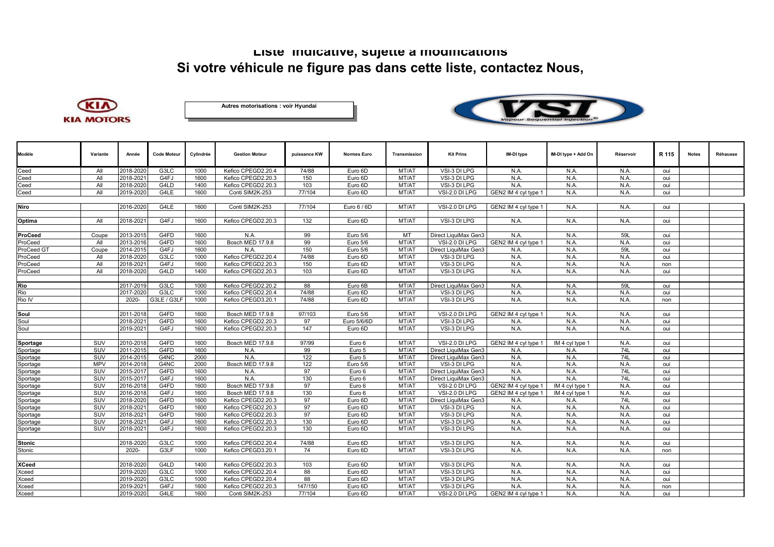## **Liste indicative, sujette à modifications Si votre véhicule ne figure pas dans cette liste, contactez Nous,**







| Modèle        | Variante   | Année     | <b>Code Moteur</b> | Cylindrée    | <b>Gestion Moteur</b>                    | puissance KW | <b>Normes Euro</b>     | <b>Transmission</b> | <b>Kit Prins</b>             | IM-DI type           | IM-DI type + Add On | Réservoir    |            | <b>Notes</b> | Réhausse |
|---------------|------------|-----------|--------------------|--------------|------------------------------------------|--------------|------------------------|---------------------|------------------------------|----------------------|---------------------|--------------|------------|--------------|----------|
|               |            |           |                    |              |                                          |              |                        |                     |                              |                      |                     |              | R 115      |              |          |
| Ceed          | All        | 2018-2020 | G3LC               | 1000         | Kefico CPEGD2.20.4                       | 74/88        | Euro 6D                | MT/AT               | VSI-3 DI LPG                 | N.A.                 | N.A.                | N.A.         | oui        |              |          |
| Ceed          | All        | 2018-2021 | G4FJ               | 1600         | Kefico CPEGD2.20.3                       | 150          | Euro 6D                | MT/AT               | VSI-3 DI LPG                 | N.A.                 | N.A.                | N.A.         | oui        |              |          |
| Ceed          | All        | 2018-2020 | G4LD               | 1400         | Kefico CPEGD2.20.3                       | 103          | Euro 6D                | MT/AT               | VSI-3 DI LPG                 | N.A.                 | N.A.                | N.A.         | oui        |              |          |
| Ceed          | All        | 2019-2020 | G4LE               | 1600         | Conti SIM2K-253                          | 77/104       | Euro 6D                | MT/AT               | VSI-2.0 DI LPG               | GEN2 IM 4 cyl type 1 | N.A.                | N.A.         | oui        |              |          |
|               |            |           |                    |              |                                          |              |                        |                     |                              |                      |                     |              |            |              |          |
| Niro          |            | 2016-2020 | G4LE               | 1600         | Conti SIM2K-253                          | 77/104       | Euro 6 / 6D            | MT/AT               | VSI-2.0 DI LPG               | GEN2 IM 4 cvl type 1 | N.A.                | N.A.         | oui        |              |          |
|               |            |           |                    |              |                                          |              |                        |                     |                              |                      |                     |              |            |              |          |
| Optima        | All        | 2018-2021 | G4FJ               | 1600         | Kefico CPEGD2.20.3                       | 132          | Euro 6D                | MT/AT               | VSI-3 DI LPG                 | N.A.                 | N.A.                | N.A.         | oui        |              |          |
|               |            |           |                    |              |                                          |              |                        |                     |                              |                      |                     |              |            |              |          |
| ProCeed       | Coupe      | 2013-2015 | G4FD               | 1600         | N.A.                                     | 99           | Euro 5/6               | MT                  | Direct LiquiMax Gen3         | N.A.                 | N.A.                | 59L          | oui        |              |          |
| ProCeed       | All        | 2013-2016 | G4FD               | 1600         | Bosch MED 17.9.8                         | 99           | Euro 5/6               | MT/AT               | VSI-2.0 DI LPG               | GEN2 IM 4 cyl type 1 | N.A.                | N.A.         | oui        |              |          |
| ProCeed GT    | Coupe      | 2014-2015 | G4FJ               | 1600         | N.A.                                     | 150          | Euro 5/6               | MT/AT               | Direct LiquiMax Gen3         | N.A.                 | N.A.                | 59L          | oui        |              |          |
| ProCeed       | All        | 2018-2020 | G3LC               | 1000         | Kefico CPEGD2.20.4                       | 74/88        | Euro 6D                | MT/AT               | VSI-3 DI LPG                 | N.A.                 | N.A.                | N.A.         | oui        |              |          |
| ProCeed       | All        | 2018-2021 | G4FJ               | 1600         | Kefico CPEGD2.20.3                       | 150          | Euro 6D                | MT/AT               | VSI-3 DI LPG                 | N.A.                 | N.A.                | N.A.         | non        |              |          |
| ProCeed       | All        | 2018-2020 | G4LD               | 1400         | Kefico CPEGD2.20.3                       | 103          | Euro 6D                | MT/AT               | VSI-3 DI LPG                 | N.A.                 | N.A.                | N.A.         | oui        |              |          |
|               |            |           |                    |              |                                          |              |                        |                     |                              |                      |                     |              |            |              |          |
| Rio           |            | 2017-2019 | G3LC               | 1000         | Kefico CPEGD2.20.2                       | 88           | Euro 6B                | MT/AT               | Direct LiquiMax Gen3         | N.A.                 | N.A.                | 59L          | oui        |              |          |
| Rio           |            | 2017-2020 | G3LC               | 1000         | Kefico CPEGD2.20.4                       | 74/88        | Euro 6D                | MT/AT               | VSI-3 DI LPG                 | N.A.                 | N.A.                | N.A.         | oui        |              |          |
| Rio IV        |            | 2020-     | G3LE / G3LF        | 1000         | Kefico CPEGD3.20.1                       | 74/88        | Euro 6D                | MT/AT               | VSI-3 DI LPG                 | N.A.                 | N.A.                | N.A.         | non        |              |          |
| Soul          |            | 2011-2018 | G4FD               | 1600         | <b>Bosch MED 17.9.8</b>                  | 97/103       | Euro 5/6               | MT/AT               |                              |                      | N.A.                | N.A.         |            |              |          |
| Soul          |            | 2018-2021 | G4FD               |              |                                          | 97           |                        |                     | VSI-2.0 DI LPG               | GEN2 IM 4 cyl type 1 | N.A.                |              | oui        |              |          |
| Soul          |            | 2019-2021 | G4FJ               | 1600<br>1600 | Kefico CPEGD2.20.3<br>Kefico CPEGD2.20.3 | 147          | Euro 5/6/6D<br>Euro 6D | MT/AT<br>MT/AT      | VSI-3 DI LPG<br>VSI-3 DI LPG | N.A.<br>N.A.         | N.A.                | N.A.<br>N.A. | oui<br>oui |              |          |
|               |            |           |                    |              |                                          |              |                        |                     |                              |                      |                     |              |            |              |          |
| Sportage      | SUV        | 2010-2018 | G4FD               | 1600         | Bosch MED 17.9.8                         | 97/99        | Euro 6                 | MT/AT               | VSI-2.0 DI LPG               | GEN2 IM 4 cyl type 1 | IM 4 cyl type 1     | N.A.         | oui        |              |          |
| Sportage      | SUV        | 2011-2015 | G4FD               | 1600         | N.A.                                     | 99           | Euro 5                 | MT/AT               | Direct LiquiMax Gen3         | N.A.                 | N.A.                | 74L          | oui        |              |          |
| Sportage      | SUV        | 2014-2015 | G4NC               | 2000         | N.A.                                     | 122          | Euro 5                 | MT/AT               | Direct LiquiMax Gen3         | N.A                  | N.A.                | 74L          | oui        |              |          |
| Sportage      | <b>MPV</b> | 2014-2018 | G4NC               | 2000         | <b>Bosch MED 17.9.8</b>                  | 122          | Euro 5/6               | MT/AT               | VSI-3 DI LPG                 | N.A.                 | N.A.                | N.A.         | oui        |              |          |
| Sportage      | SUV        | 2015-2017 | G4FD               | 1600         | N.A.                                     | 97           | Euro 6                 | MT/A1               | Direct LiquiMax Gen3         | N.A                  | N.A.                | 74L          | oui        |              |          |
| Sportage      | SUV        | 2015-2017 | G4FJ               | 1600         | N.A                                      | 130          | Euro 6                 | MT/AT               | Direct LiquiMax Gen3         | N.A.                 | N.A.                | 74L          | oui        |              |          |
| Sportage      | SUV        | 2016-2018 | G4FD               | 1600         | Bosch MED 17.9.8                         | 97           | Euro 6                 | MT/AT               | VSI-2.0 DI LPG               | GEN2 IM 4 cyl type 1 | IM 4 cyl type 1     | N.A.         | oui        |              |          |
| Sportage      | SUV        | 2016-2018 | G4FJ               | 1600         | <b>Bosch MED 17.9.8</b>                  | 130          | Euro 6                 | MT/AT               | VSI-2.0 DI LPG               | GEN2 IM 4 cyl type 1 | IM 4 cyl type 1     | N.A.         | oui        |              |          |
| Sportage      | SUV        | 2018-2020 | G4FD               | 1600         | Kefico CPEGD2.20.3                       | 97           | Euro 6D                | MT/A1               | Direct LiquiMax Gen3         | N.A.                 | N.A.                | 74L          | oui        |              |          |
| Sportage      | SUV        | 2018-2021 | G4FD               | 1600         | Kefico CPEGD2.20.3                       | 97           | Euro 6D                | MT/AT               | VSI-3 DI LPG                 | N.A.                 | N.A.                | N.A.         | oui        |              |          |
| Sportage      | SUV        | 2018-2021 | G4FD               | 1600         | Kefico CPEGD2.20.3                       | 97           | Euro 6D                | MT/AT               | VSI-3 DI LPG                 | N.A.                 | N.A.                | N.A.         | oui        |              |          |
| Sportage      | SUV        | 2018-2021 | G4FJ               | 1600         | Kefico CPEGD2.20.3                       | 130          | Euro 6D                | MT/AT               | VSI-3 DI LPG                 | N.A                  | N.A                 | N.A.         | oui        |              |          |
| Sportage      | SUV        | 2018-2021 | G4FJ               | 1600         | Kefico CPEGD2.20.3                       | 130          | Euro 6D                | MT/AT               | VSI-3 DI LPG                 | N.A.                 | N.A.                | N.A.         | oui        |              |          |
|               |            |           |                    |              |                                          |              |                        |                     |                              |                      |                     |              |            |              |          |
| <b>Stonic</b> |            | 2018-2020 | G3LC               | 1000         | Kefico CPEGD2.20.4                       | 74/88        | Euro 6D                | MT/AT               | VSI-3 DI LPG                 | N.A.                 | N.A.                | N.A.         | oui        |              |          |
| Stonic        |            | 2020-     | G3LF               | 1000         | Kefico CPEGD3.20.1                       | 74           | Euro 6D                | MT/AT               | VSI-3 DI LPG                 | N.A.                 | N.A.                | N.A.         | non        |              |          |
|               |            |           |                    |              |                                          |              |                        |                     |                              |                      |                     |              |            |              |          |
| <b>XCeed</b>  |            | 2018-2020 | G4LD               | 1400         | Kefico CPEGD2.20.3                       | 103          | Euro 6D                | MT/AT               | VSI-3 DI LPG                 | N.A.                 | N.A.                | N.A.         | oui        |              |          |
| Xceed         |            | 2019-2020 | G3LC               | 1000         | Kefico CPEGD2.20.4                       | 88           | Euro 6D                | MT/AT               | VSI-3 DI LPG                 | N.A                  | N.A.                | N.A.         | oui        |              |          |
| Xceed         |            | 2019-2020 | G3LC               | 1000         | Kefico CPEGD2.20.4                       | 88           | Euro 6D                | MT/AT               | VSI-3 DI LPG                 | N.A                  | N.A.                | N.A.         | oui        |              |          |
| Xceed         |            | 2019-2021 | G4FJ               | 1600         | Kefico CPEGD2.20.3                       | 147/150      | Euro 6D                | MT/AT               | VSI-3 DI LPG                 | N.A                  | N.A.                | N.A.         | non        |              |          |
| Xceed         |            | 2019-2020 | G4LE               | 1600         | Conti SIM2K-253                          | 77/104       | Euro 6D                | MT/AT               | VSI-2.0 DI LPG               | GEN2 IM 4 cyl type 1 | N.A.                | N.A.         | oui        |              |          |